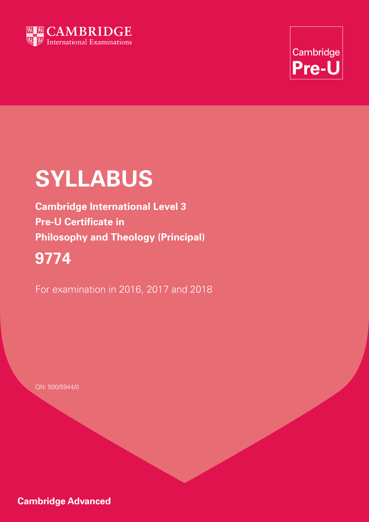



# **SYLLABUS**

**Cambridge International Level 3 Pre-U Certificate in Philosophy and Theology (Principal)**

# **9774**

For examination in 2016, 2017 and 2018

QN: 500/5944/0

**Cambridge Advanced**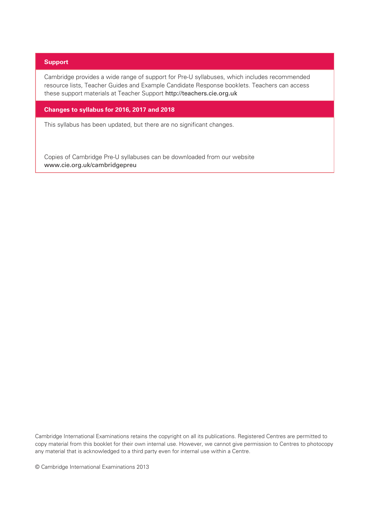#### **Support**

Cambridge provides a wide range of support for Pre-U syllabuses, which includes recommended resource lists, Teacher Guides and Example Candidate Response booklets. Teachers can access these support materials at Teacher Support http://teachers.cie.org.uk

#### **Changes to syllabus for 2016, 2017 and 2018**

This syllabus has been updated, but there are no significant changes.

Copies of Cambridge Pre-U syllabuses can be downloaded from our website www.cie.org.uk/cambridgepreu

Cambridge International Examinations retains the copyright on all its publications. Registered Centres are permitted to copy material from this booklet for their own internal use. However, we cannot give permission to Centres to photocopy any material that is acknowledged to a third party even for internal use within a Centre.

© Cambridge International Examinations 2013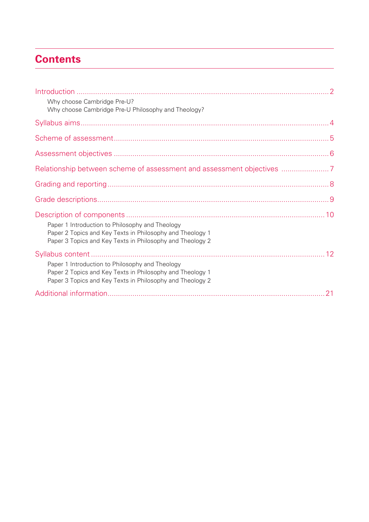### **Contents**

| Why choose Cambridge Pre-U?<br>Why choose Cambridge Pre-U Philosophy and Theology?                                                                                        |  |
|---------------------------------------------------------------------------------------------------------------------------------------------------------------------------|--|
|                                                                                                                                                                           |  |
|                                                                                                                                                                           |  |
|                                                                                                                                                                           |  |
| Relationship between scheme of assessment and assessment objectives                                                                                                       |  |
|                                                                                                                                                                           |  |
|                                                                                                                                                                           |  |
| Paper 1 Introduction to Philosophy and Theology<br>Paper 2 Topics and Key Texts in Philosophy and Theology 1<br>Paper 3 Topics and Key Texts in Philosophy and Theology 2 |  |
| Paper 1 Introduction to Philosophy and Theology<br>Paper 2 Topics and Key Texts in Philosophy and Theology 1<br>Paper 3 Topics and Key Texts in Philosophy and Theology 2 |  |
|                                                                                                                                                                           |  |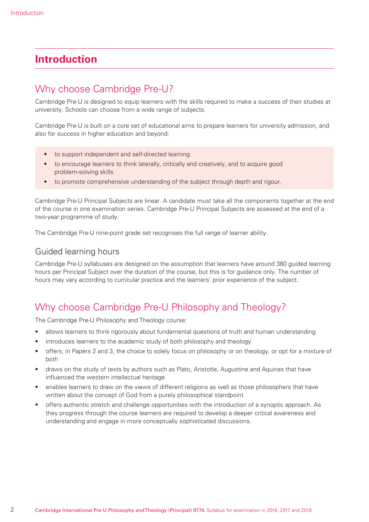### **Introduction**

### Why choose Cambridge Pre-U?

Cambridge Pre-U is designed to equip learners with the skills required to make a success of their studies at university. Schools can choose from a wide range of subjects.

Cambridge Pre-U is built on a core set of educational aims to prepare learners for university admission, and also for success in higher education and beyond:

- to support independent and self-directed learning
- to encourage learners to think laterally, critically and creatively, and to acquire good problem-solving skills
- to promote comprehensive understanding of the subject through depth and rigour.

Cambridge Pre-U Principal Subjects are linear. A candidate must take all the components together at the end of the course in one examination series. Cambridge Pre-U Principal Subjects are assessed at the end of a two-year programme of study.

The Cambridge Pre-U nine-point grade set recognises the full range of learner ability.

#### Guided learning hours

Cambridge Pre-U syllabuses are designed on the assumption that learners have around 380 guided learning hours per Principal Subject over the duration of the course, but this is for guidance only. The number of hours may vary according to curricular practice and the learners' prior experience of the subject.

### Why choose Cambridge Pre-U Philosophy and Theology?

The Cambridge Pre-U Philosophy and Theology course:

- allows learners to think rigorously about fundamental questions of truth and human understanding
- introduces learners to the academic study of both philosophy and theology
- offers, in Papers 2 and 3, the choice to solely focus on philosophy or on theology, or opt for a mixture of both
- draws on the study of texts by authors such as Plato, Aristotle, Augustine and Aquinas that have influenced the western intellectual heritage
- enables learners to draw on the views of different religions as well as those philosophers that have written about the concept of God from a purely philosophical standpoint
- offers authentic stretch and challenge opportunities with the introduction of a synoptic approach. As they progress through the course learners are required to develop a deeper critical awareness and understanding and engage in more conceptually sophisticated discussions.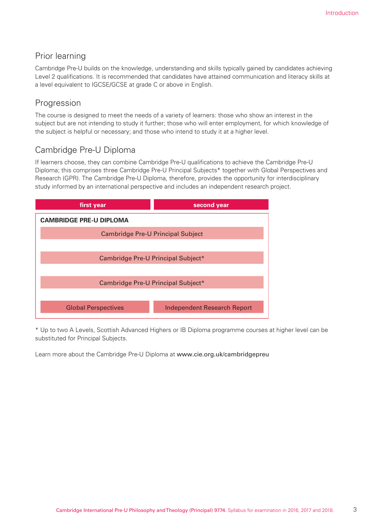### Prior learning

Cambridge Pre-U builds on the knowledge, understanding and skills typically gained by candidates achieving Level 2 qualifications. It is recommended that candidates have attained communication and literacy skills at a level equivalent to IGCSE/GCSE at grade C or above in English.

### Progression

The course is designed to meet the needs of a variety of learners: those who show an interest in the subject but are not intending to study it further; those who will enter employment, for which knowledge of the subject is helpful or necessary; and those who intend to study it at a higher level.

### Cambridge Pre-U Diploma

If learners choose, they can combine Cambridge Pre-U qualifications to achieve the Cambridge Pre-U Diploma; this comprises three Cambridge Pre-U Principal Subjects\* together with Global Perspectives and Research (GPR). The Cambridge Pre-U Diploma, therefore, provides the opportunity for interdisciplinary study informed by an international perspective and includes an independent research project.



\* Up to two A Levels, Scottish Advanced Highers or IB Diploma programme courses at higher level can be substituted for Principal Subjects.

Learn more about the Cambridge Pre-U Diploma at www.cie.org.uk/cambridgepreu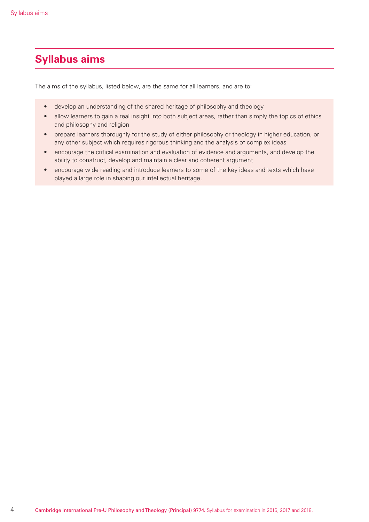### **Syllabus aims**

The aims of the syllabus, listed below, are the same for all learners, and are to:

- develop an understanding of the shared heritage of philosophy and theology
- allow learners to gain a real insight into both subject areas, rather than simply the topics of ethics and philosophy and religion
- prepare learners thoroughly for the study of either philosophy or theology in higher education, or any other subject which requires rigorous thinking and the analysis of complex ideas
- encourage the critical examination and evaluation of evidence and arguments, and develop the ability to construct, develop and maintain a clear and coherent argument
- encourage wide reading and introduce learners to some of the key ideas and texts which have played a large role in shaping our intellectual heritage.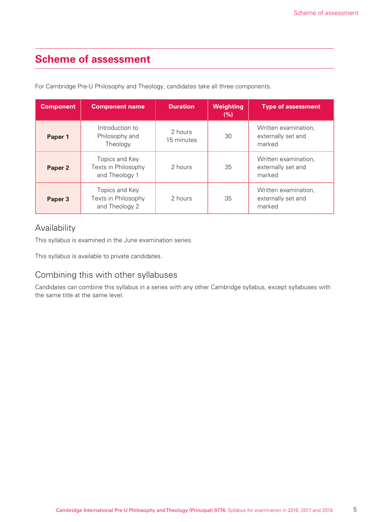### **Scheme of assessment**

For Cambridge Pre-U Philosophy and Theology, candidates take all three components.

| <b>Component</b> | <b>Component name</b>                                   | <b>Duration</b>       | <b>Weighting</b><br>(%) | <b>Type of assessment</b>                            |
|------------------|---------------------------------------------------------|-----------------------|-------------------------|------------------------------------------------------|
| Paper 1          | Introduction to<br>Philosophy and<br>Theology           | 2 hours<br>15 minutes | 30                      | Written examination,<br>externally set and<br>marked |
| Paper 2          | Topics and Key<br>Texts in Philosophy<br>and Theology 1 | 2 hours               | 35                      | Written examination,<br>externally set and<br>marked |
| Paper 3          | Topics and Key<br>Texts in Philosophy<br>and Theology 2 | 2 hours               | 35                      | Written examination,<br>externally set and<br>marked |

### Availability

This syllabus is examined in the June examination series.

This syllabus is available to private candidates.

### Combining this with other syllabuses

Candidates can combine this syllabus in a series with any other Cambridge syllabus, except syllabuses with the same title at the same level.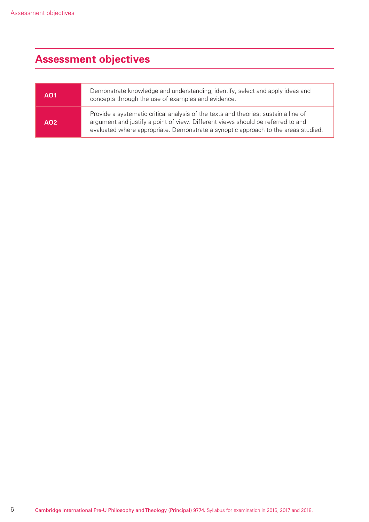## **Assessment objectives**

| <b>AO1</b> | Demonstrate knowledge and understanding; identify, select and apply ideas and<br>concepts through the use of examples and evidence.                                                                                                                          |
|------------|--------------------------------------------------------------------------------------------------------------------------------------------------------------------------------------------------------------------------------------------------------------|
| AO2        | Provide a systematic critical analysis of the texts and theories; sustain a line of<br>argument and justify a point of view. Different views should be referred to and<br>evaluated where appropriate. Demonstrate a synoptic approach to the areas studied. |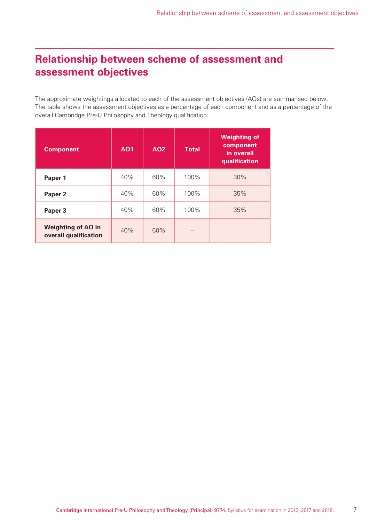### **Relationship between scheme of assessment and assessment objectives**

The approximate weightings allocated to each of the assessment objectives (AOs) are summarised below. The table shows the assessment objectives as a percentage of each component and as a percentage of the overall Cambridge Pre-U Philosophy and Theology qualification.

| <b>Component</b>                                   | <b>AO1</b> | <b>AO2</b> | <b>Total</b> | <b>Weighting of</b><br>component<br>in overall<br>qualification |
|----------------------------------------------------|------------|------------|--------------|-----------------------------------------------------------------|
| Paper 1                                            | 40%        | 60%        | 100%         | 30%                                                             |
| Paper <sub>2</sub>                                 | 40%        | 60%        | 100%         | 35%                                                             |
| Paper 3                                            | 40%        | 60%        | 100%         | 35%                                                             |
| <b>Weighting of AO in</b><br>overall qualification | 40%        | 60%        |              |                                                                 |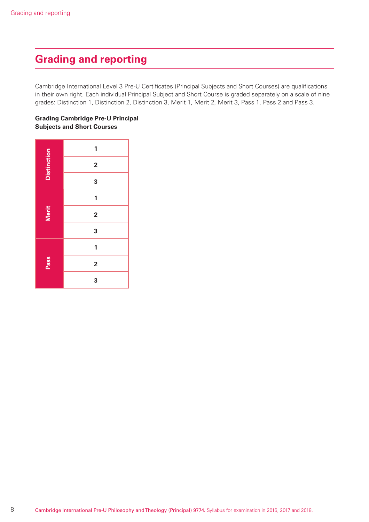### **Grading and reporting**

Cambridge International Level 3 Pre-U Certificates (Principal Subjects and Short Courses) are qualifications in their own right. Each individual Principal Subject and Short Course is graded separately on a scale of nine grades: Distinction 1, Distinction 2, Distinction 3, Merit 1, Merit 2, Merit 3, Pass 1, Pass 2 and Pass 3.

#### **Grading Cambridge Pre-U Principal Subjects and Short Courses**

|                    | 1                       |
|--------------------|-------------------------|
| <b>Distinction</b> | $\overline{\mathbf{c}}$ |
|                    | 3                       |
|                    | 1                       |
| <b>Merit</b>       | $\overline{\mathbf{c}}$ |
|                    | 3                       |
| Pass               | 1                       |
|                    | $\overline{\mathbf{c}}$ |
|                    | 3                       |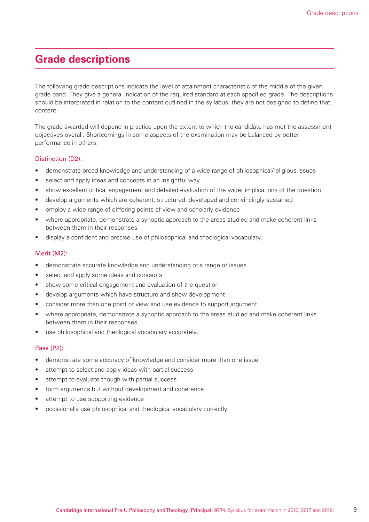### **Grade descriptions**

The following grade descriptions indicate the level of attainment characteristic of the middle of the given grade band. They give a general indication of the required standard at each specified grade. The descriptions should be interpreted in relation to the content outlined in the syllabus; they are not designed to define that content.

The grade awarded will depend in practice upon the extent to which the candidate has met the assessment objectives overall. Shortcomings in some aspects of the examination may be balanced by better performance in others.

#### Distinction (D2):

- demonstrate broad knowledge and understanding of a wide range of philosophical/religious issues
- select and apply ideas and concepts in an insightful way
- show excellent critical engagement and detailed evaluation of the wider implications of the question
- develop arguments which are coherent, structured, developed and convincingly sustained
- employ a wide range of differing points of view and scholarly evidence
- where appropriate, demonstrate a synoptic approach to the areas studied and make coherent links between them in their responses
- display a confident and precise use of philosophical and theological vocabulary.

#### Merit (M2):

- demonstrate accurate knowledge and understanding of a range of issues
- select and apply some ideas and concepts
- show some critical engagement and evaluation of the question
- develop arguments which have structure and show development
- consider more than one point of view and use evidence to support argument
- where appropriate, demonstrate a synoptic approach to the areas studied and make coherent links between them in their responses
- use philosophical and theological vocabulary accurately.

#### Pass (P2):

- demonstrate some accuracy of knowledge and consider more than one issue
- attempt to select and apply ideas with partial success
- attempt to evaluate though with partial success
- form arguments but without development and coherence
- attempt to use supporting evidence
- occasionally use philosophical and theological vocabulary correctly.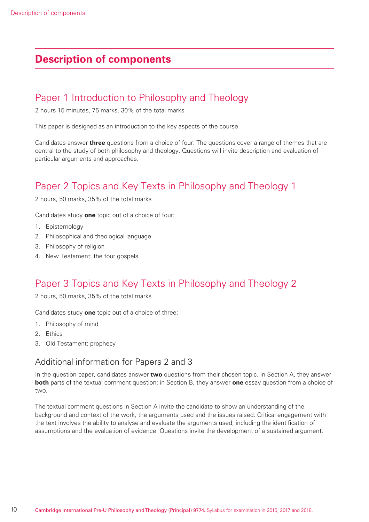### **Description of components**

### Paper 1 Introduction to Philosophy and Theology

2 hours 15 minutes, 75 marks, 30% of the total marks

This paper is designed as an introduction to the key aspects of the course.

Candidates answer **three** questions from a choice of four. The questions cover a range of themes that are central to the study of both philosophy and theology. Questions will invite description and evaluation of particular arguments and approaches.

### Paper 2 Topics and Key Texts in Philosophy and Theology 1

2 hours, 50 marks, 35% of the total marks

Candidates study **one** topic out of a choice of four:

- 1. Epistemology
- 2. Philosophical and theological language
- 3. Philosophy of religion
- 4. New Testament: the four gospels

### Paper 3 Topics and Key Texts in Philosophy and Theology 2

2 hours, 50 marks, 35% of the total marks

Candidates study **one** topic out of a choice of three:

- 1. Philosophy of mind
- 2. Ethics
- 3. Old Testament: prophecy

#### Additional information for Papers 2 and 3

In the question paper, candidates answer **two** questions from their chosen topic. In Section A, they answer **both** parts of the textual comment question; in Section B, they answer **one** essay question from a choice of two.

The textual comment questions in Section A invite the candidate to show an understanding of the background and context of the work, the arguments used and the issues raised. Critical engagement with the text involves the ability to analyse and evaluate the arguments used, including the identification of assumptions and the evaluation of evidence. Questions invite the development of a sustained argument.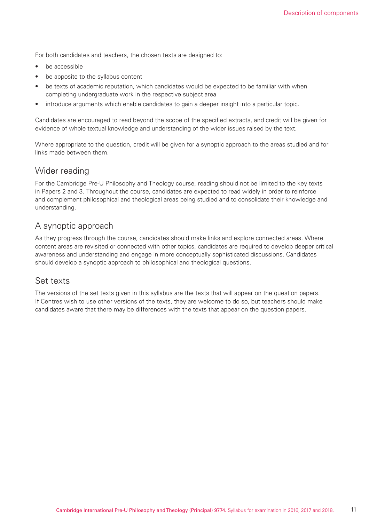For both candidates and teachers, the chosen texts are designed to:

- be accessible
- be apposite to the syllabus content
- be texts of academic reputation, which candidates would be expected to be familiar with when completing undergraduate work in the respective subject area
- introduce arguments which enable candidates to gain a deeper insight into a particular topic.

Candidates are encouraged to read beyond the scope of the specified extracts, and credit will be given for evidence of whole textual knowledge and understanding of the wider issues raised by the text.

Where appropriate to the question, credit will be given for a synoptic approach to the areas studied and for links made between them.

#### Wider reading

For the Cambridge Pre-U Philosophy and Theology course, reading should not be limited to the key texts in Papers 2 and 3. Throughout the course, candidates are expected to read widely in order to reinforce and complement philosophical and theological areas being studied and to consolidate their knowledge and understanding.

#### A synoptic approach

As they progress through the course, candidates should make links and explore connected areas. Where content areas are revisited or connected with other topics, candidates are required to develop deeper critical awareness and understanding and engage in more conceptually sophisticated discussions. Candidates should develop a synoptic approach to philosophical and theological questions.

#### Set texts

The versions of the set texts given in this syllabus are the texts that will appear on the question papers. If Centres wish to use other versions of the texts, they are welcome to do so, but teachers should make candidates aware that there may be differences with the texts that appear on the question papers.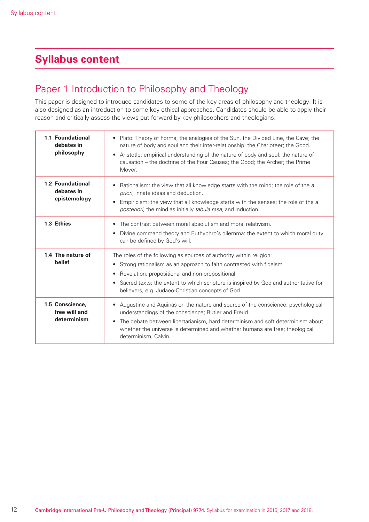### **Syllabus content**

### Paper 1 Introduction to Philosophy and Theology

This paper is designed to introduce candidates to some of the key areas of philosophy and theology. It is also designed as an introduction to some key ethical approaches. Candidates should be able to apply their reason and critically assess the views put forward by key philosophers and theologians.

| 1.1 Foundational<br>debates in<br>philosophy    | Plato: Theory of Forms; the analogies of the Sun, the Divided Line, the Cave; the<br>$\bullet$<br>nature of body and soul and their inter-relationship; the Charioteer; the Good.<br>Aristotle: empirical understanding of the nature of body and soul; the nature of<br>causation – the doctrine of the Four Causes; the Good; the Archer; the Prime<br>Mover.     |
|-------------------------------------------------|---------------------------------------------------------------------------------------------------------------------------------------------------------------------------------------------------------------------------------------------------------------------------------------------------------------------------------------------------------------------|
| 1.2 Foundational<br>debates in<br>epistemology  | Rationalism: the view that all knowledge starts with the mind; the role of the a<br>priori, innate ideas and deduction.<br>Empiricism: the view that all knowledge starts with the senses; the role of the a<br>posteriori, the mind as initially tabula rasa, and induction.                                                                                       |
| 1.3 Ethics                                      | The contrast between moral absolutism and moral relativism.<br>$\bullet$<br>Divine command theory and Euthyphro's dilemma: the extent to which moral duty<br>٠<br>can be defined by God's will.                                                                                                                                                                     |
| 1.4 The nature of<br>belief                     | The roles of the following as sources of authority within religion:<br>Strong rationalism as an approach to faith contrasted with fideism<br>$\bullet$<br>Revelation: propositional and non-propositional<br>Sacred texts: the extent to which scripture is inspired by God and authoritative for<br>$\bullet$<br>believers, e.g. Judaeo-Christian concepts of God. |
| 1.5 Conscience.<br>free will and<br>determinism | Augustine and Aquinas on the nature and source of the conscience; psychological<br>understandings of the conscience; Butler and Freud.<br>The debate between libertarianism, hard determinism and soft determinism about<br>whether the universe is determined and whether humans are free; theological<br>determinism; Calvin.                                     |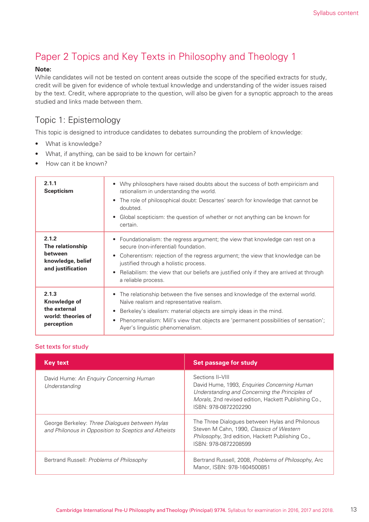### Paper 2 Topics and Key Texts in Philosophy and Theology 1

#### **Note:**

While candidates will not be tested on content areas outside the scope of the specified extracts for study, credit will be given for evidence of whole textual knowledge and understanding of the wider issues raised by the text. Credit, where appropriate to the question, will also be given for a synoptic approach to the areas studied and links made between them.

#### Topic 1: Epistemology

This topic is designed to introduce candidates to debates surrounding the problem of knowledge:

- What is knowledge?
- What, if anything, can be said to be known for certain?
- How can it be known?

| 2.1.1<br><b>Scepticism</b>                                                     | Why philosophers have raised doubts about the success of both empiricism and<br>rationalism in understanding the world.<br>The role of philosophical doubt: Descartes' search for knowledge that cannot be<br>doubted.<br>Global scepticism: the question of whether or not anything can be known for<br>$\bullet$<br>certain.                                     |
|--------------------------------------------------------------------------------|--------------------------------------------------------------------------------------------------------------------------------------------------------------------------------------------------------------------------------------------------------------------------------------------------------------------------------------------------------------------|
| 2.1.2<br>The relationship<br>between<br>knowledge, belief<br>and justification | Foundationalism: the regress argument; the view that knowledge can rest on a<br>secure (non-inferential) foundation.<br>Coherentism: rejection of the regress argument; the view that knowledge can be<br>justified through a holistic process.<br>Reliabilism: the view that our beliefs are justified only if they are arrived at through<br>a reliable process. |
| 2.1.3<br>Knowledge of<br>the external<br>world: theories of<br>perception      | The relationship between the five senses and knowledge of the external world.<br>Naïve realism and representative realism.<br>Berkeley's idealism: material objects are simply ideas in the mind.<br>Phenomenalism: Mill's view that objects are 'permanent possibilities of sensation';<br>$\bullet$<br>Ayer's linguistic phenomenalism.                          |

| <b>Key text</b>                                                                                        | Set passage for study                                                                                                                                                                              |
|--------------------------------------------------------------------------------------------------------|----------------------------------------------------------------------------------------------------------------------------------------------------------------------------------------------------|
| David Hume: An Enguiry Concerning Human<br>Understanding                                               | Sections II-VIII<br>David Hume, 1993, Enquiries Concerning Human<br>Understanding and Concerning the Principles of<br>Morals, 2nd revised edition, Hackett Publishing Co.,<br>ISBN: 978-0872202290 |
| George Berkeley: Three Dialogues between Hylas<br>and Philonous in Opposition to Sceptics and Atheists | The Three Dialogues between Hylas and Philonous<br>Steven M Cahn, 1990, Classics of Western<br>Philosophy, 3rd edition, Hackett Publishing Co.,<br>ISBN: 978-0872208599                            |
| Bertrand Russell: Problems of Philosophy                                                               | Bertrand Russell, 2008, Problems of Philosophy, Arc<br>Manor, ISBN: 978-1604500851                                                                                                                 |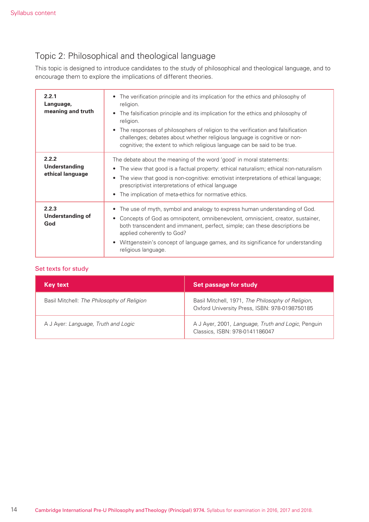### Topic 2: Philosophical and theological language

This topic is designed to introduce candidates to the study of philosophical and theological language, and to encourage them to explore the implications of different theories.

| 2.2.1<br>Language,<br>meaning and truth           | The verification principle and its implication for the ethics and philosophy of<br>$\bullet$<br>religion.<br>The falsification principle and its implication for the ethics and philosophy of<br>religion.<br>The responses of philosophers of religion to the verification and falsification<br>challenges; debates about whether religious language is cognitive or non-<br>cognitive; the extent to which religious language can be said to be true. |
|---------------------------------------------------|---------------------------------------------------------------------------------------------------------------------------------------------------------------------------------------------------------------------------------------------------------------------------------------------------------------------------------------------------------------------------------------------------------------------------------------------------------|
| 2.2.2<br><b>Understanding</b><br>ethical language | The debate about the meaning of the word 'good' in moral statements:<br>The view that good is a factual property: ethical naturalism; ethical non-naturalism<br>٠<br>The view that good is non-cognitive: emotivist interpretations of ethical language;<br>$\bullet$<br>prescriptivist interpretations of ethical language<br>The implication of meta-ethics for normative ethics.                                                                     |
| 2.2.3<br><b>Understanding of</b><br>God           | The use of myth, symbol and analogy to express human understanding of God.<br>Concepts of God as omnipotent, omnibenevolent, omniscient, creator, sustainer,<br>both transcendent and immanent, perfect, simple; can these descriptions be<br>applied coherently to God?<br>Wittgenstein's concept of language games, and its significance for understanding<br>religious language.                                                                     |

| <b>Key text</b>                            | Set passage for study                                                                              |
|--------------------------------------------|----------------------------------------------------------------------------------------------------|
| Basil Mitchell: The Philosophy of Religion | Basil Mitchell, 1971, The Philosophy of Religion,<br>Oxford University Press, ISBN: 978-0198750185 |
| A J Ayer: Language, Truth and Logic        | A J Ayer, 2001, Language, Truth and Logic, Penguin<br>Classics, ISBN: 978-0141186047               |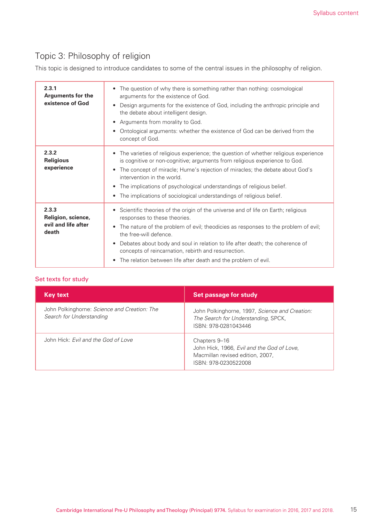### Topic 3: Philosophy of religion

This topic is designed to introduce candidates to some of the central issues in the philosophy of religion.

| 2.3.1<br><b>Arguments for the</b><br>existence of God       | The question of why there is something rather than nothing: cosmological<br>$\bullet$<br>arguments for the existence of God.<br>Design arguments for the existence of God, including the anthropic principle and<br>$\bullet$<br>the debate about intelligent design.<br>Arguments from morality to God.<br>$\bullet$<br>Ontological arguments: whether the existence of God can be derived from the<br>$\bullet$<br>concept of God.                                                             |
|-------------------------------------------------------------|--------------------------------------------------------------------------------------------------------------------------------------------------------------------------------------------------------------------------------------------------------------------------------------------------------------------------------------------------------------------------------------------------------------------------------------------------------------------------------------------------|
| 2.3.2<br><b>Religious</b><br>experience                     | The varieties of religious experience; the question of whether religious experience<br>$\bullet$<br>is cognitive or non-cognitive; arguments from religious experience to God.<br>The concept of miracle; Hume's rejection of miracles; the debate about God's<br>$\bullet$<br>intervention in the world.<br>The implications of psychological understandings of religious belief.<br>$\bullet$<br>The implications of sociological understandings of religious belief.<br>$\bullet$             |
| 2.3.3<br>Religion, science,<br>evil and life after<br>death | Scientific theories of the origin of the universe and of life on Earth; religious<br>$\bullet$<br>responses to these theories.<br>The nature of the problem of evil; theodicies as responses to the problem of evil;<br>$\bullet$<br>the free-will defence.<br>Debates about body and soul in relation to life after death; the coherence of<br>$\bullet$<br>concepts of reincarnation, rebirth and resurrection.<br>The relation between life after death and the problem of evil.<br>$\bullet$ |

| <b>Key text</b>                                                          | Set passage for study                                                                                                   |
|--------------------------------------------------------------------------|-------------------------------------------------------------------------------------------------------------------------|
| John Polkinghorne: Science and Creation: The<br>Search for Understanding | John Polkinghorne, 1997, Science and Creation:<br>The Search for Understanding, SPCK,<br>ISBN: 978-0281043446           |
| John Hick: Fyil and the God of Love                                      | Chapters 9-16<br>John Hick, 1966, Evil and the God of Love,<br>Macmillan revised edition, 2007,<br>ISBN: 978-0230522008 |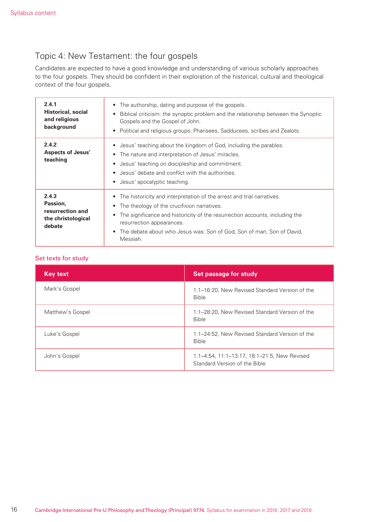### Topic 4: New Testament: the four gospels

Candidates are expected to have a good knowledge and understanding of various scholarly approaches to the four gospels. They should be confident in their exploration of the historical, cultural and theological context of the four gospels.

| 2.4.1<br><b>Historical, social</b><br>and religious<br>background     | The authorship, dating and purpose of the gospels.<br>$\bullet$<br>Biblical criticism: the synoptic problem and the relationship between the Synoptic<br>$\bullet$<br>Gospels and the Gospel of John.<br>Political and religious groups: Pharisees, Sadducees, scribes and Zealots.<br>$\bullet$                                                                            |
|-----------------------------------------------------------------------|-----------------------------------------------------------------------------------------------------------------------------------------------------------------------------------------------------------------------------------------------------------------------------------------------------------------------------------------------------------------------------|
| 2.4.2<br><b>Aspects of Jesus'</b><br>teaching                         | Jesus' teaching about the kingdom of God, including the parables.<br>$\bullet$<br>The nature and interpretation of Jesus' miracles.<br>$\bullet$<br>Jesus' teaching on discipleship and commitment.<br>$\bullet$<br>Jesus' debate and conflict with the authorities.<br>$\bullet$<br>Jesus' apocalyptic teaching.<br>$\bullet$                                              |
| 2.4.3<br>Passion,<br>resurrection and<br>the christological<br>debate | The historicity and interpretation of the arrest and trial narratives.<br>$\bullet$<br>The theology of the crucifixion narratives.<br>$\bullet$<br>The significance and historicity of the resurrection accounts, including the<br>$\bullet$<br>resurrection appearances.<br>The debate about who Jesus was: Son of God, Son of man, Son of David,<br>$\bullet$<br>Messiah. |

| <b>Key text</b>  | Set passage for study                                                         |
|------------------|-------------------------------------------------------------------------------|
| Mark's Gospel    | 1:1-16:20, New Revised Standard Version of the<br><b>Bible</b>                |
| Matthew's Gospel | 1:1-28:20, New Revised Standard Version of the<br><b>Bible</b>                |
| Luke's Gospel    | 1:1-24:52, New Revised Standard Version of the<br><b>Bible</b>                |
| John's Gospel    | 1:1-4:54, 11:1-13:17, 18:1-21:5, New Revised<br>Standard Version of the Bible |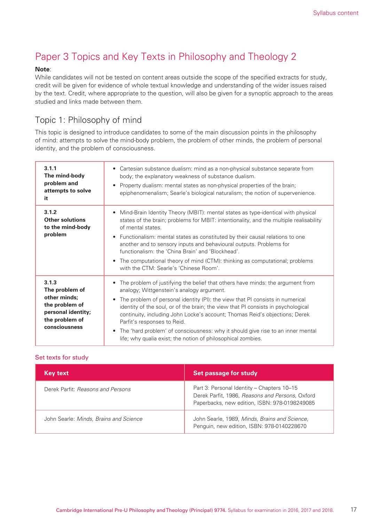### Paper 3 Topics and Key Texts in Philosophy and Theology 2

#### **Note**:

While candidates will not be tested on content areas outside the scope of the specified extracts for study, credit will be given for evidence of whole textual knowledge and understanding of the wider issues raised by the text. Credit, where appropriate to the question, will also be given for a synoptic approach to the areas studied and links made between them.

#### Topic 1: Philosophy of mind

This topic is designed to introduce candidates to some of the main discussion points in the philosophy of mind: attempts to solve the mind-body problem, the problem of other minds, the problem of personal identity, and the problem of consciousness.

| 3.1.1<br>The mind-body<br>problem and<br>attempts to solve<br>it                                                   | • Cartesian substance dualism: mind as a non-physical substance separate from<br>body; the explanatory weakness of substance dualism.<br>Property dualism: mental states as non-physical properties of the brain;<br>epiphenomenalism; Searle's biological naturalism; the notion of supervenience.                                                                                                                                                                                                                                                                             |
|--------------------------------------------------------------------------------------------------------------------|---------------------------------------------------------------------------------------------------------------------------------------------------------------------------------------------------------------------------------------------------------------------------------------------------------------------------------------------------------------------------------------------------------------------------------------------------------------------------------------------------------------------------------------------------------------------------------|
| 3.1.2<br><b>Other solutions</b><br>to the mind-body<br>problem                                                     | Mind-Brain Identity Theory (MBIT): mental states as type-identical with physical<br>states of the brain; problems for MBIT: intentionality, and the multiple realisability<br>of mental states.<br>Functionalism: mental states as constituted by their causal relations to one<br>$\bullet$<br>another and to sensory inputs and behavioural outputs. Problems for<br>functionalism: the 'China Brain' and 'Blockhead'.<br>The computational theory of mind (CTM): thinking as computational; problems<br>$\bullet$<br>with the CTM: Searle's 'Chinese Room'.                  |
| 3.1.3<br>The problem of<br>other minds;<br>the problem of<br>personal identity;<br>the problem of<br>consciousness | The problem of justifying the belief that others have minds: the argument from<br>$\bullet$<br>analogy; Wittgenstein's analogy argument.<br>The problem of personal identity (PI): the view that PI consists in numerical<br>identity of the soul, or of the brain; the view that PI consists in psychological<br>continuity, including John Locke's account; Thomas Reid's objections; Derek<br>Parfit's responses to Reid.<br>The 'hard problem' of consciousness: why it should give rise to an inner mental<br>life; why qualia exist; the notion of philosophical zombies. |

| <b>Key text</b>                        | <b>Set passage for study</b>                                                                                                                   |
|----------------------------------------|------------------------------------------------------------------------------------------------------------------------------------------------|
| Derek Parfit: Reasons and Persons      | Part 3: Personal Identity - Chapters 10-15<br>Derek Parfit, 1986, Reasons and Persons, Oxford<br>Paperbacks, new edition, ISBN: 978-0198249085 |
| John Searle: Minds, Brains and Science | John Searle, 1989, Minds, Brains and Science,<br>Penguin, new edition, ISBN: 978-0140228670                                                    |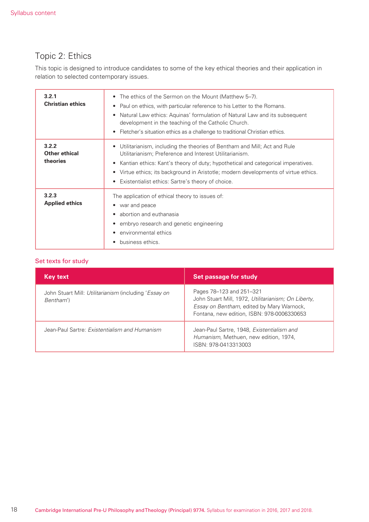### Topic 2: Ethics

This topic is designed to introduce candidates to some of the key ethical theories and their application in relation to selected contemporary issues.

| 3.2.1<br><b>Christian ethics</b>          | The ethics of the Sermon on the Mount (Matthew 5-7).<br>$\bullet$<br>Paul on ethics, with particular reference to his Letter to the Romans.<br>Natural Law ethics: Aquinas' formulation of Natural Law and its subsequent<br>$\bullet$<br>development in the teaching of the Catholic Church.<br>Fletcher's situation ethics as a challenge to traditional Christian ethics.        |
|-------------------------------------------|-------------------------------------------------------------------------------------------------------------------------------------------------------------------------------------------------------------------------------------------------------------------------------------------------------------------------------------------------------------------------------------|
| 3.2.2<br><b>Other ethical</b><br>theories | Utilitarianism, including the theories of Bentham and Mill; Act and Rule<br>Utilitarianism; Preference and Interest Utilitarianism.<br>Kantian ethics: Kant's theory of duty; hypothetical and categorical imperatives.<br>$\bullet$<br>Virtue ethics; its background in Aristotle; modern developments of virtue ethics.<br>٠<br>Existentialist ethics: Sartre's theory of choice. |
| 3.2.3<br><b>Applied ethics</b>            | The application of ethical theory to issues of:<br>war and peace<br>abortion and euthanasia<br>embryo research and genetic engineering<br>environmental ethics<br>business ethics.                                                                                                                                                                                                  |

| <b>Key text</b>                                                    | <b>Set passage for study</b>                                                                                                                                               |
|--------------------------------------------------------------------|----------------------------------------------------------------------------------------------------------------------------------------------------------------------------|
| John Stuart Mill: Utilitarianism (including 'Essay on<br>Bentham') | Pages 78–123 and 251–321<br>John Stuart Mill, 1972, Utilitarianism; On Liberty,<br>Essay on Bentham, edited by Mary Warnock,<br>Fontana, new edition, ISBN: 978-0006330653 |
| Jean-Paul Sartre: Existentialism and Humanism                      | Jean-Paul Sartre, 1948, Existentialism and<br>Humanism, Methuen, new edition, 1974,<br>ISBN: 978-0413313003                                                                |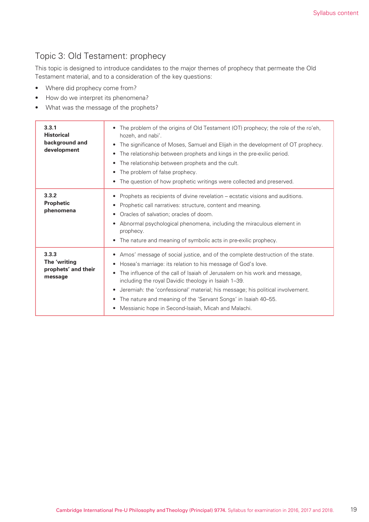### Topic 3: Old Testament: prophecy

This topic is designed to introduce candidates to the major themes of prophecy that permeate the Old Testament material, and to a consideration of the key questions:

- Where did prophecy come from?
- How do we interpret its phenomena?
- What was the message of the prophets?

| 3.3.1<br><b>Historical</b><br>background and<br>development | The problem of the origins of Old Testament (OT) prophecy; the role of the ro'eh,<br>$\bullet$<br>hozeh, and nabi'.<br>The significance of Moses, Samuel and Elijah in the development of OT prophecy.<br>$\bullet$<br>The relationship between prophets and kings in the pre-exilic period.<br>$\bullet$<br>The relationship between prophets and the cult.<br>$\bullet$<br>The problem of false prophecy.<br>$\bullet$<br>The question of how prophetic writings were collected and preserved.<br>٠                                                |
|-------------------------------------------------------------|------------------------------------------------------------------------------------------------------------------------------------------------------------------------------------------------------------------------------------------------------------------------------------------------------------------------------------------------------------------------------------------------------------------------------------------------------------------------------------------------------------------------------------------------------|
| 3.3.2<br><b>Prophetic</b><br>phenomena                      | Prophets as recipients of divine revelation – ecstatic visions and auditions.<br>$\bullet$<br>Prophetic call narratives: structure, content and meaning.<br>$\bullet$<br>Oracles of salvation; oracles of doom.<br>$\bullet$<br>Abnormal psychological phenomena, including the miraculous element in<br>$\bullet$<br>prophecy.<br>The nature and meaning of symbolic acts in pre-exilic prophecy.<br>$\bullet$                                                                                                                                      |
| 3.3.3<br>The 'writing<br>prophets' and their<br>message     | Amos' message of social justice, and of the complete destruction of the state.<br>٠<br>Hosea's marriage: its relation to his message of God's love.<br>٠<br>The influence of the call of Isaiah of Jerusalem on his work and message,<br>$\bullet$<br>including the royal Davidic theology in Isaiah 1-39.<br>Jeremiah: the 'confessional' material; his message; his political involvement.<br>$\bullet$<br>The nature and meaning of the 'Servant Songs' in Isaiah 40-55.<br>$\bullet$<br>Messianic hope in Second-Isaiah, Micah and Malachi.<br>٠ |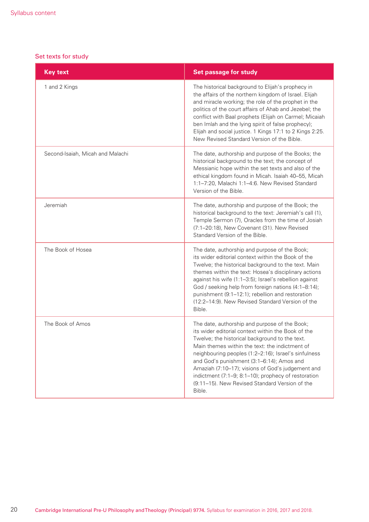| <b>Key text</b>                  | <b>Set passage for study</b>                                                                                                                                                                                                                                                                                                                                                                                                                                                         |
|----------------------------------|--------------------------------------------------------------------------------------------------------------------------------------------------------------------------------------------------------------------------------------------------------------------------------------------------------------------------------------------------------------------------------------------------------------------------------------------------------------------------------------|
| 1 and 2 Kings                    | The historical background to Elijah's prophecy in<br>the affairs of the northern kingdom of Israel. Elijah<br>and miracle working; the role of the prophet in the<br>politics of the court affairs of Ahab and Jezebel; the<br>conflict with Baal prophets (Elijah on Carmel; Micaiah<br>ben Imlah and the lying spirit of false prophecy);<br>Elijah and social justice. 1 Kings 17:1 to 2 Kings 2:25.<br>New Revised Standard Version of the Bible.                                |
| Second-Isaiah, Micah and Malachi | The date, authorship and purpose of the Books; the<br>historical background to the text; the concept of<br>Messianic hope within the set texts and also of the<br>ethical kingdom found in Micah. Isaiah 40-55, Micah<br>1:1-7:20, Malachi 1:1-4:6. New Revised Standard<br>Version of the Bible.                                                                                                                                                                                    |
| Jeremiah                         | The date, authorship and purpose of the Book; the<br>historical background to the text: Jeremiah's call (1),<br>Temple Sermon (7), Oracles from the time of Josiah<br>(7:1-20:18), New Covenant (31). New Revised<br>Standard Version of the Bible.                                                                                                                                                                                                                                  |
| The Book of Hosea                | The date, authorship and purpose of the Book;<br>its wider editorial context within the Book of the<br>Twelve; the historical background to the text. Main<br>themes within the text: Hosea's disciplinary actions<br>against his wife (1:1-3:5); Israel's rebellion against<br>God / seeking help from foreign nations (4:1-8:14);<br>punishment (9:1-12:1); rebellion and restoration<br>(12:2-14:9). New Revised Standard Version of the<br>Bible.                                |
| The Book of Amos                 | The date, authorship and purpose of the Book;<br>its wider editorial context within the Book of the<br>Twelve; the historical background to the text.<br>Main themes within the text: the indictment of<br>neighbouring peoples (1:2-2:16); Israel's sinfulness<br>and God's punishment (3:1-6:14); Amos and<br>Amaziah (7:10-17); visions of God's judgement and<br>indictment (7:1-9; 8:1-10); prophecy of restoration<br>(9:11-15). New Revised Standard Version of the<br>Bible. |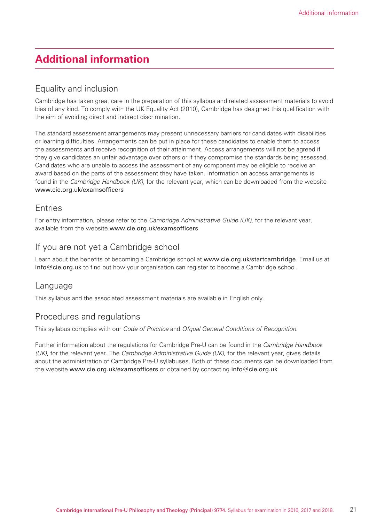### **Additional information**

### Equality and inclusion

Cambridge has taken great care in the preparation of this syllabus and related assessment materials to avoid bias of any kind. To comply with the UK Equality Act (2010), Cambridge has designed this qualification with the aim of avoiding direct and indirect discrimination.

The standard assessment arrangements may present unnecessary barriers for candidates with disabilities or learning difficulties. Arrangements can be put in place for these candidates to enable them to access the assessments and receive recognition of their attainment. Access arrangements will not be agreed if they give candidates an unfair advantage over others or if they compromise the standards being assessed. Candidates who are unable to access the assessment of any component may be eligible to receive an award based on the parts of the assessment they have taken. Information on access arrangements is found in the *Cambridge Handbook (UK)*, for the relevant year, which can be downloaded from the website www.cie.org.uk/examsofficers

#### Entries

For entry information, please refer to the *Cambridge Administrative Guide (UK)*, for the relevant year, available from the website www.cie.org.uk/examsofficers

### If you are not yet a Cambridge school

Learn about the benefits of becoming a Cambridge school at www.cie.org.uk/startcambridge. Email us at info@cie.org.uk to find out how your organisation can register to become a Cambridge school.

#### Language

This syllabus and the associated assessment materials are available in English only.

#### Procedures and regulations

This syllabus complies with our *Code of Practice* and *Ofqual General Conditions of Recognition*.

Further information about the regulations for Cambridge Pre-U can be found in the *Cambridge Handbook (UK)*, for the relevant year. The *Cambridge Administrative Guide (UK)*, for the relevant year, gives details about the administration of Cambridge Pre-U syllabuses. Both of these documents can be downloaded from the website www.cie.org.uk/examsofficers or obtained by contacting info@cie.org.uk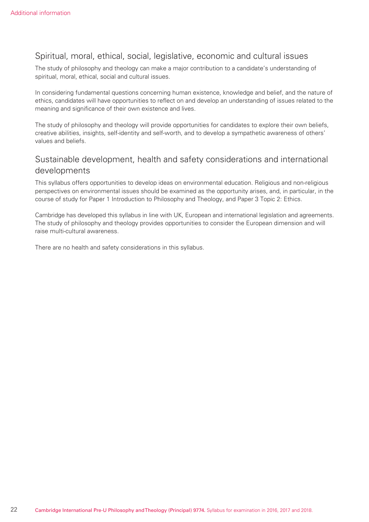### Spiritual, moral, ethical, social, legislative, economic and cultural issues

The study of philosophy and theology can make a major contribution to a candidate's understanding of spiritual, moral, ethical, social and cultural issues.

In considering fundamental questions concerning human existence, knowledge and belief, and the nature of ethics, candidates will have opportunities to reflect on and develop an understanding of issues related to the meaning and significance of their own existence and lives.

The study of philosophy and theology will provide opportunities for candidates to explore their own beliefs, creative abilities, insights, self-identity and self-worth, and to develop a sympathetic awareness of others' values and beliefs.

### Sustainable development, health and safety considerations and international developments

This syllabus offers opportunities to develop ideas on environmental education. Religious and non-religious perspectives on environmental issues should be examined as the opportunity arises, and, in particular, in the course of study for Paper 1 Introduction to Philosophy and Theology, and Paper 3 Topic 2: Ethics.

Cambridge has developed this syllabus in line with UK, European and international legislation and agreements. The study of philosophy and theology provides opportunities to consider the European dimension and will raise multi-cultural awareness.

There are no health and safety considerations in this syllabus.